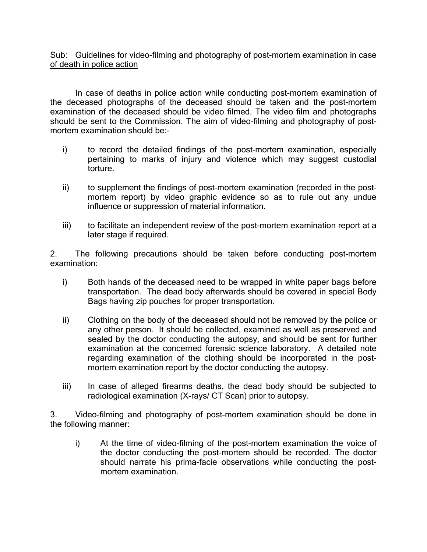Sub: Guidelines for video-filming and photography of post-mortem examination in case of death in police action

 In case of deaths in police action while conducting post-mortem examination of the deceased photographs of the deceased should be taken and the post-mortem examination of the deceased should be video filmed. The video film and photographs should be sent to the Commission. The aim of video-filming and photography of postmortem examination should be:-

- i) to record the detailed findings of the post-mortem examination, especially pertaining to marks of injury and violence which may suggest custodial torture.
- ii) to supplement the findings of post-mortem examination (recorded in the postmortem report) by video graphic evidence so as to rule out any undue influence or suppression of material information.
- iii) to facilitate an independent review of the post-mortem examination report at a later stage if required.

2. The following precautions should be taken before conducting post-mortem examination:

- i) Both hands of the deceased need to be wrapped in white paper bags before transportation. The dead body afterwards should be covered in special Body Bags having zip pouches for proper transportation.
- ii) Clothing on the body of the deceased should not be removed by the police or any other person. It should be collected, examined as well as preserved and sealed by the doctor conducting the autopsy, and should be sent for further examination at the concerned forensic science laboratory. A detailed note regarding examination of the clothing should be incorporated in the postmortem examination report by the doctor conducting the autopsy.
- iii) In case of alleged firearms deaths, the dead body should be subjected to radiological examination (X-rays/ CT Scan) prior to autopsy.

3. Video-filming and photography of post-mortem examination should be done in the following manner:

i) At the time of video-filming of the post-mortem examination the voice of the doctor conducting the post-mortem should be recorded. The doctor should narrate his prima-facie observations while conducting the postmortem examination.